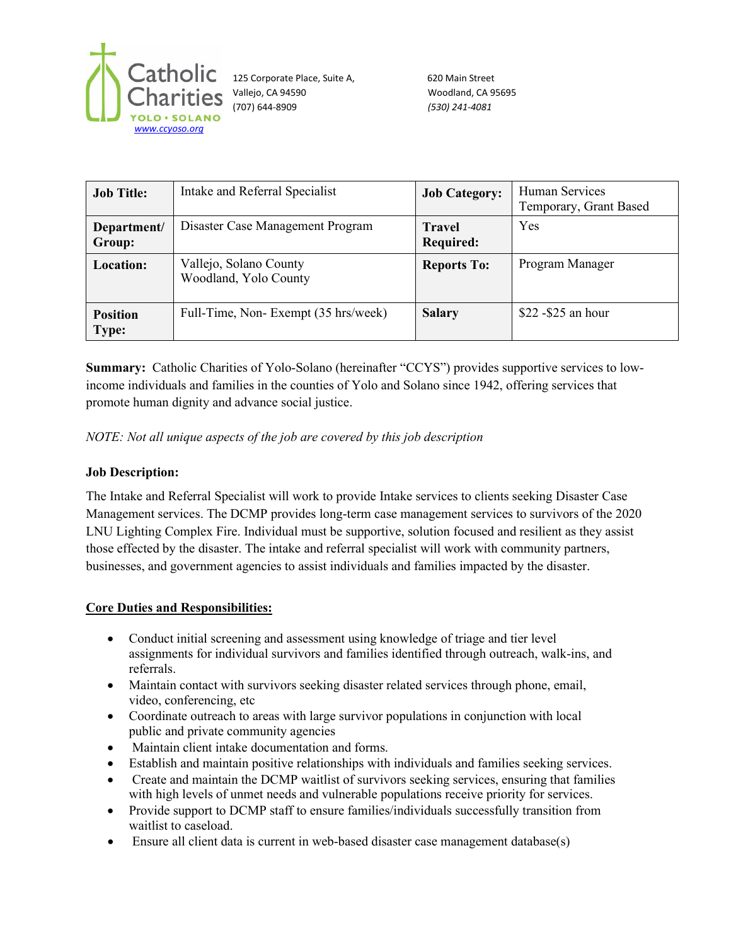

125 Corporate Place, Suite A, 620 Main Street Vallejo, CA 94590 Woodland, CA 95695 (707) 644-8909 *(530) 241-4081*

| <b>Job Title:</b>               | Intake and Referral Specialist                  | <b>Job Category:</b>              | Human Services<br>Temporary, Grant Based |
|---------------------------------|-------------------------------------------------|-----------------------------------|------------------------------------------|
| Department/<br>Group:           | Disaster Case Management Program                | <b>Travel</b><br><b>Required:</b> | Yes                                      |
| <b>Location:</b>                | Vallejo, Solano County<br>Woodland, Yolo County | <b>Reports To:</b>                | Program Manager                          |
| <b>Position</b><br><b>Type:</b> | Full-Time, Non-Exempt (35 hrs/week)             | <b>Salary</b>                     | \$22 - \$25 an hour                      |

**Summary:** Catholic Charities of Yolo-Solano (hereinafter "CCYS") provides supportive services to lowincome individuals and families in the counties of Yolo and Solano since 1942, offering services that promote human dignity and advance social justice.

*NOTE: Not all unique aspects of the job are covered by this job description*

# **Job Description:**

The Intake and Referral Specialist will work to provide Intake services to clients seeking Disaster Case Management services. The DCMP provides long-term case management services to survivors of the 2020 LNU Lighting Complex Fire. Individual must be supportive, solution focused and resilient as they assist those effected by the disaster. The intake and referral specialist will work with community partners, businesses, and government agencies to assist individuals and families impacted by the disaster.

### **Core Duties and Responsibilities:**

- Conduct initial screening and assessment using knowledge of triage and tier level assignments for individual survivors and families identified through outreach, walk-ins, and referrals.
- Maintain contact with survivors seeking disaster related services through phone, email, video, conferencing, etc
- Coordinate outreach to areas with large survivor populations in conjunction with local public and private community agencies
- Maintain client intake documentation and forms.
- Establish and maintain positive relationships with individuals and families seeking services.
- Create and maintain the DCMP waitlist of survivors seeking services, ensuring that families with high levels of unmet needs and vulnerable populations receive priority for services.
- Provide support to DCMP staff to ensure families/individuals successfully transition from waitlist to caseload.
- Ensure all client data is current in web-based disaster case management database(s)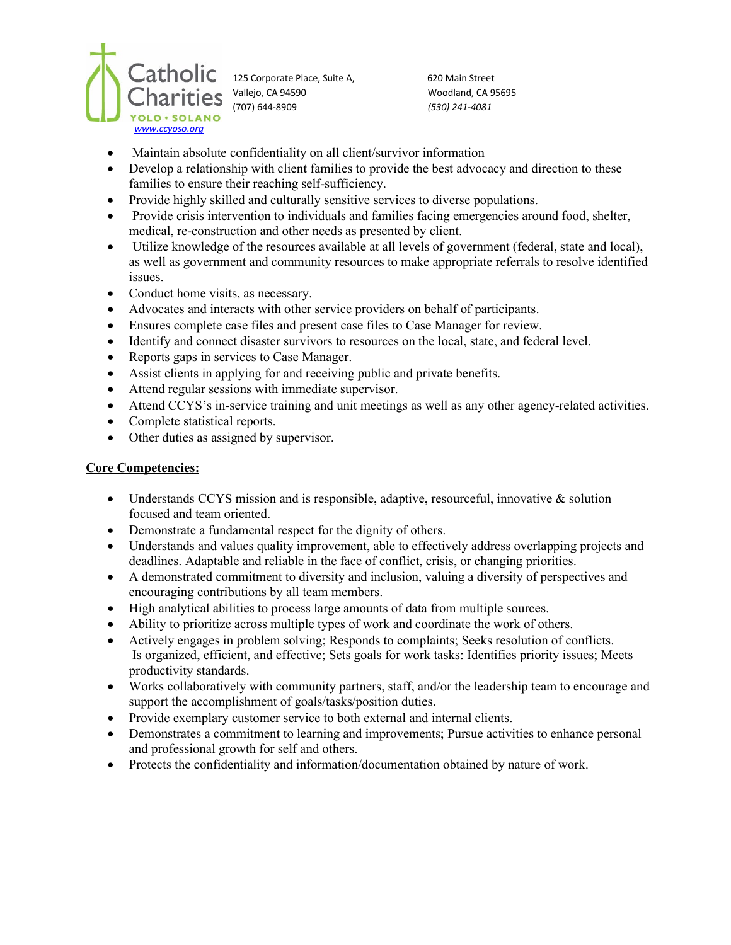

125 Corporate Place, Suite A, 620 Main Street Vallejo, CA 94590 Woodland, CA 95695 (707) 644-8909 *(530) 241-4081*

- Maintain absolute confidentiality on all client/survivor information
- Develop a relationship with client families to provide the best advocacy and direction to these families to ensure their reaching self-sufficiency.
- Provide highly skilled and culturally sensitive services to diverse populations.
- Provide crisis intervention to individuals and families facing emergencies around food, shelter, medical, re-construction and other needs as presented by client.
- Utilize knowledge of the resources available at all levels of government (federal, state and local), as well as government and community resources to make appropriate referrals to resolve identified issues.
- Conduct home visits, as necessary.
- Advocates and interacts with other service providers on behalf of participants.
- Ensures complete case files and present case files to Case Manager for review.
- Identify and connect disaster survivors to resources on the local, state, and federal level.
- Reports gaps in services to Case Manager.
- Assist clients in applying for and receiving public and private benefits.
- Attend regular sessions with immediate supervisor.
- Attend CCYS's in-service training and unit meetings as well as any other agency-related activities.
- Complete statistical reports.
- Other duties as assigned by supervisor.

#### **Core Competencies:**

- Understands CCYS mission and is responsible, adaptive, resourceful, innovative & solution focused and team oriented.
- Demonstrate a fundamental respect for the dignity of others.
- Understands and values quality improvement, able to effectively address overlapping projects and deadlines. Adaptable and reliable in the face of conflict, crisis, or changing priorities.
- A demonstrated commitment to diversity and inclusion, valuing a diversity of perspectives and encouraging contributions by all team members.
- High analytical abilities to process large amounts of data from multiple sources.
- Ability to prioritize across multiple types of work and coordinate the work of others.
- Actively engages in problem solving; Responds to complaints; Seeks resolution of conflicts. Is organized, efficient, and effective; Sets goals for work tasks: Identifies priority issues; Meets productivity standards.
- Works collaboratively with community partners, staff, and/or the leadership team to encourage and support the accomplishment of goals/tasks/position duties.
- Provide exemplary customer service to both external and internal clients.
- Demonstrates a commitment to learning and improvements; Pursue activities to enhance personal and professional growth for self and others.
- Protects the confidentiality and information/documentation obtained by nature of work.